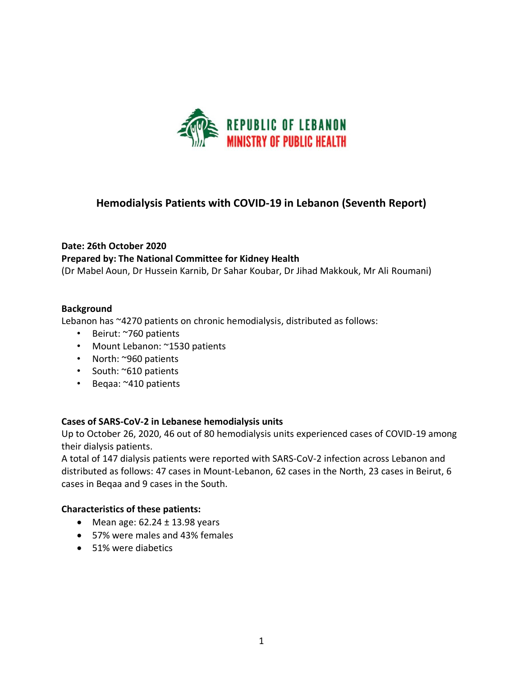

## **Hemodialysis Patients with COVID-19 in Lebanon (Seventh Report)**

# **Date: 26th October 2020 Prepared by: The National Committee for Kidney Health**

(Dr Mabel Aoun, Dr Hussein Karnib, Dr Sahar Koubar, Dr Jihad Makkouk, Mr Ali Roumani)

#### **Background**

Lebanon has ~4270 patients on chronic hemodialysis, distributed as follows:

- Beirut: ~760 patients
- Mount Lebanon: ~1530 patients
- North: ~960 patients
- South: ~610 patients
- Beqaa: ~410 patients

#### **Cases of SARS-CoV-2 in Lebanese hemodialysis units**

Up to October 26, 2020, 46 out of 80 hemodialysis units experienced cases of COVID-19 among their dialysis patients.

A total of 147 dialysis patients were reported with SARS-CoV-2 infection across Lebanon and distributed as follows: 47 cases in Mount-Lebanon, 62 cases in the North, 23 cases in Beirut, 6 cases in Beqaa and 9 cases in the South.

#### **Characteristics of these patients:**

- Mean age:  $62.24 \pm 13.98$  years
- 57% were males and 43% females
- 51% were diabetics